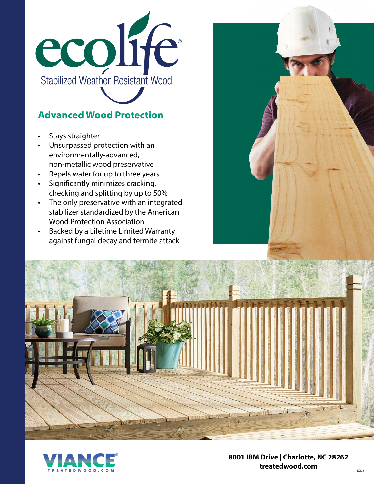

# **Advanced Wood Protection**

- Stays straighter
- Unsurpassed protection with an environmentally-advanced, non-metallic wood preservative
- Repels water for up to three years
- Significantly minimizes cracking, checking and splitting by up to 50%
- The only preservative with an integrated stabilizer standardized by the American Wood Protection Association
- Backed by a Lifetime Limited Warranty against fungal decay and termite attack